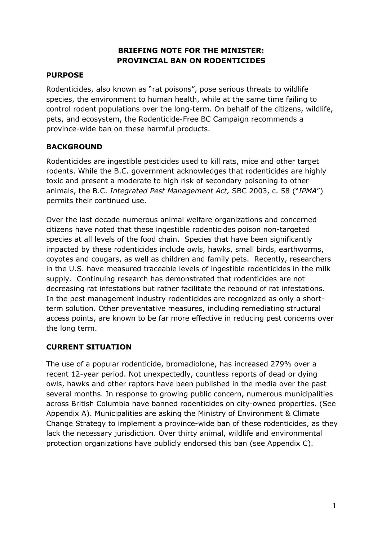## **BRIEFING NOTE FOR THE MINISTER: PROVINCIAL BAN ON RODENTICIDES**

# **PURPOSE**

Rodenticides, also known as "rat poisons", pose serious threats to wildlife species, the environment to human health, while at the same time failing to control rodent populations over the long-term. On behalf of the citizens, wildlife, pets, and ecosystem, the Rodenticide-Free BC Campaign recommends a province-wide ban on these harmful products.

## **BACKGROUND**

Rodenticides are ingestible pesticides used to kill rats, mice and other target rodents. While the B.C. government acknowledges that rodenticides are highly toxic and present a moderate to high risk of secondary poisoning to other animals, the B.C. *Integrated Pest Management Act,* SBC 2003, c. 58 ("*IPMA*") permits their continued use.

Over the last decade numerous animal welfare organizations and concerned citizens have noted that these ingestible rodenticides poison non-targeted species at all levels of the food chain. Species that have been significantly impacted by these rodenticides include owls, hawks, small birds, earthworms, coyotes and cougars, as well as children and family pets. Recently, researchers in the U.S. have measured traceable levels of ingestible rodenticides in the milk supply. Continuing research has demonstrated that rodenticides are not decreasing rat infestations but rather facilitate the rebound of rat infestations. In the pest management industry rodenticides are recognized as only a shortterm solution. Other preventative measures, including remediating structural access points, are known to be far more effective in reducing pest concerns over the long term.

# **CURRENT SITUATION**

The use of a popular rodenticide, bromadiolone, has increased 279% over a recent 12-year period. Not unexpectedly, countless reports of dead or dying owls, hawks and other raptors have been published in the media over the past several months. In response to growing public concern, numerous municipalities across British Columbia have banned rodenticides on city-owned properties. (See Appendix A). Municipalities are asking the Ministry of Environment & Climate Change Strategy to implement a province-wide ban of these rodenticides, as they lack the necessary jurisdiction. Over thirty animal, wildlife and environmental protection organizations have publicly endorsed this ban (see Appendix C).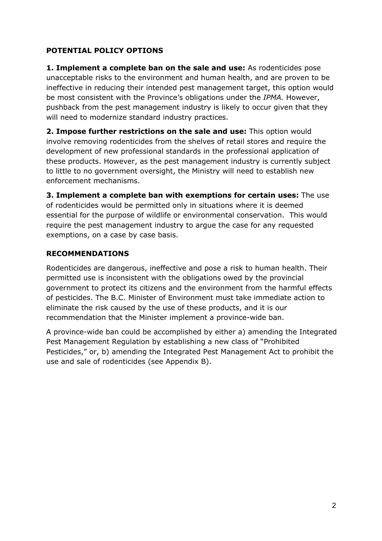## **POTENTIAL POLICY OPTIONS**

**1. Implement a complete ban on the sale and use:** As rodenticides pose unacceptable risks to the environment and human health, and are proven to be ineffective in reducing their intended pest management target, this option would be most consistent with the Province's obligations under the *IPMA.* However, pushback from the pest management industry is likely to occur given that they will need to modernize standard industry practices.

**2. Impose further restrictions on the sale and use:** This option would involve removing rodenticides from the shelves of retail stores and require the development of new professional standards in the professional application of these products. However, as the pest management industry is currently subject to little to no government oversight, the Ministry will need to establish new enforcement mechanisms.

**3. Implement a complete ban with exemptions for certain uses:** The use of rodenticides would be permitted only in situations where it is deemed essential for the purpose of wildlife or environmental conservation. This would require the pest management industry to argue the case for any requested exemptions, on a case by case basis.

## **RECOMMENDATIONS**

Rodenticides are dangerous, ineffective and pose a risk to human health. Their permitted use is inconsistent with the obligations owed by the provincial government to protect its citizens and the environment from the harmful effects of pesticides. The B.C. Minister of Environment must take immediate action to eliminate the risk caused by the use of these products, and it is our recommendation that the Minister implement a province-wide ban.

A province-wide ban could be accomplished by either a) amending the Integrated Pest Management Regulation by establishing a new class of "Prohibited Pesticides," or, b) amending the Integrated Pest Management Act to prohibit the use and sale of rodenticides (see Appendix B).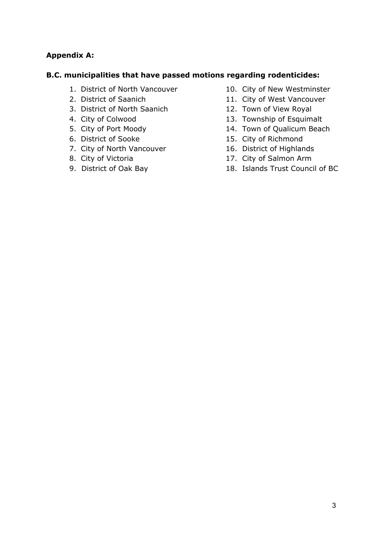## **Appendix A:**

### **B.C. municipalities that have passed motions regarding rodenticides:**

- 1. District of North Vancouver
- 2. District of Saanich
- 3. District of North Saanich
- 4. City of Colwood
- 5. City of Port Moody
- 6. District of Sooke
- 7. City of North Vancouver
- 8. City of Victoria
- 9. District of Oak Bay
- 10. City of New Westminster
- 11. City of West Vancouver
- 12. Town of View Royal
- 13. Township of Esquimalt
- 14. Town of Qualicum Beach
- 15. City of Richmond
- 16. District of Highlands
- 17. City of Salmon Arm
- 18. Islands Trust Council of BC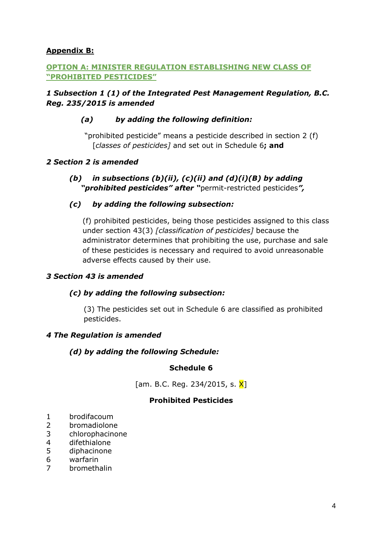## **Appendix B:**

## **OPTION A: MINISTER REGULATION ESTABLISHING NEW CLASS OF "PROHIBITED PESTICIDES"**

## *1 Subsection 1 (1) of the Integrated Pest Management Regulation, B.C. Reg. 235/2015 is amended*

## *(a) by adding the following definition:*

"prohibited pesticide" means a pesticide described in section 2 (f) [*classes of pesticides]* and set out in Schedule 6**; and**

### *2 Section 2 is amended*

*(b) in subsections (b)(ii), (c)(ii) and (d)(i)(B) by adding "prohibited pesticides" after "*permit-restricted pesticides*",*

#### *(c) by adding the following subsection:*

(f) prohibited pesticides, being those pesticides assigned to this class under section 43(3) *[classification of pesticides]* because the administrator determines that prohibiting the use, purchase and sale of these pesticides is necessary and required to avoid unreasonable adverse effects caused by their use.

#### *3 Section 43 is amended*

#### *(c) by adding the following subsection:*

(3) The pesticides set out in Schedule 6 are classified as prohibited pesticides.

#### *4 The Regulation is amended*

### *(d) by adding the following Schedule:*

#### **Schedule 6**

[am. B.C. Reg. 234/2015, s. X]

#### **Prohibited Pesticides**

- 1 brodifacoum
- 2 bromadiolone
- 3 chlorophacinone
- 4 difethialone
- 5 diphacinone
- 6 warfarin
- 7 bromethalin